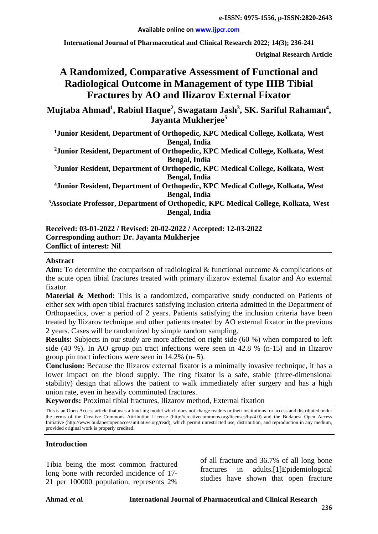**Available online on [www.ijpcr.com](http://www.ijpcr.com/)**

**International Journal of Pharmaceutical and Clinical Research 2022; 14(3); 236-241**

**Original Research Article**

# **A Randomized, Comparative Assessment of Functional and Radiological Outcome in Management of type IIIB Tibial Fractures by AO and Ilizarov External Fixator**

Mujtaba Ahmad<sup>1</sup>, Rabiul Haque<sup>2</sup>, Swagatam Jash<sup>3</sup>, SK. Sariful Rahaman<sup>4</sup>, **Jayanta Mukherjee5**

**1 Junior Resident, Department of Orthopedic, KPC Medical College, Kolkata, West Bengal, India**

**2Junior Resident, Department of Orthopedic, KPC Medical College, Kolkata, West Bengal, India**

**3 Junior Resident, Department of Orthopedic, KPC Medical College, Kolkata, West Bengal, India**

**4Junior Resident, Department of Orthopedic, KPC Medical College, Kolkata, West Bengal, India**

**5 Associate Professor, Department of Orthopedic, KPC Medical College, Kolkata, West Bengal, India**

**Received: 03-01-2022 / Revised: 20-02-2022 / Accepted: 12-03-2022 Corresponding author: Dr. Jayanta Mukherjee Conflict of interest: Nil**

#### **Abstract**

**Aim:** To determine the comparison of radiological & functional outcome & complications of the acute open tibial fractures treated with primary ilizarov external fixator and Ao external fixator.

Material & Method: This is a randomized, comparative study conducted on Patients of either sex with open tibial fractures satisfying inclusion criteria admitted in the Department of Orthopaedics, over a period of 2 years. Patients satisfying the inclusion criteria have been treated by Ilizarov technique and other patients treated by AO external fixator in the previous 2 years. Cases will be randomized by simple random sampling.

**Results:** Subjects in our study are more affected on right side (60 %) when compared to left side (40 %). In AO group pin tract infections were seen in 42.8 % (n-15) and in Ilizarov group pin tract infections were seen in 14.2% (n- 5).

**Conclusion:** Because the Ilizarov external fixator is a minimally invasive technique, it has a lower impact on the blood supply. The ring fixator is a safe, stable (three-dimensional stability) design that allows the patient to walk immediately after surgery and has a high union rate, even in heavily comminuted fractures.

**Keywords:** Proximal tibial fractures, Ilizarov method, External fixation

This is an Open Access article that uses a fund-ing model which does not charge readers or their institutions for access and distributed under the terms of the Creative Commons Attribution License (http://creativecommons.org/licenses/by/4.0) and the Budapest Open Access Initiative (http://www.budapestopenaccessinitiative.org/read), which permit unrestricted use, distribution, and reproduction in any medium, provided original work is properly credited.

#### **Introduction**

Tibia being the most common fractured long bone with recorded incidence of 17- 21 per 100000 population, represents 2%

of all fracture and 36.7% of all long bone fractures in adults.[1]Epidemiological studies have shown that open fracture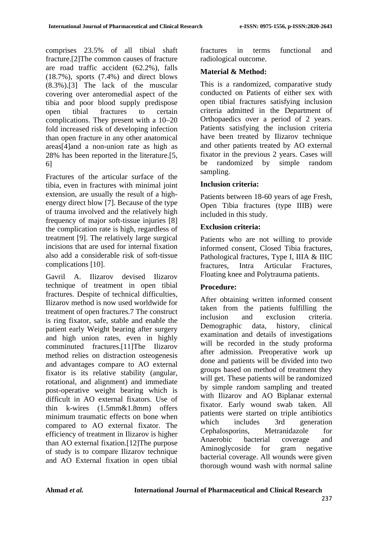comprises 23.5% of all tibial shaft fracture.[2]The common causes of fracture are road traffic accident (62.2%), falls (18.7%), sports (7.4%) and direct blows (8.3%).[3] The lack of the muscular covering over anteromedial aspect of the tibia and poor blood supply predispose open tibial fractures to certain complications. They present with a 10–20 fold increased risk of developing infection than open fracture in any other anatomical areas[4]and a non-union rate as high as 28% has been reported in the literature.[5, 6]

Fractures of the articular surface of the tibia, even in fractures with minimal joint extension, are usually the result of a highenergy direct blow [7]. Because of the type of trauma involved and the relatively high frequency of major soft-tissue injuries [8] the complication rate is high, regardless of treatment [9]. The relatively large surgical incisions that are used for internal fixation also add a considerable risk of soft-tissue complications [10].

Gavril A. Ilizarov devised Ilizarov technique of treatment in open tibial fractures. Despite of technical difficulties, Ilizarov method is now used worldwide for treatment of open fractures.7 The construct is ring fixator, safe, stable and enable the patient early Weight bearing after surgery and high union rates, even in highly comminuted fractures.[11]The Ilizarov method relies on distraction osteogenesis and advantages compare to AO external fixator is its relative stability (angular, rotational, and alignment) and immediate post-operative weight bearing which is difficult in AO external fixators. Use of thin k-wires (1.5mm&1.8mm) offers minimum traumatic effects on bone when compared to AO external fixator. The efficiency of treatment in Ilizarov is higher than AO external fixation.[12]The purpose of study is to compare Ilizarov technique and AO External fixation in open tibial fractures in terms functional and radiological outcome.

### **Material & Method:**

This is a randomized, comparative study conducted on Patients of either sex with open tibial fractures satisfying inclusion criteria admitted in the Department of Orthopaedics over a period of 2 years. Patients satisfying the inclusion criteria have been treated by Ilizarov technique and other patients treated by AO external fixator in the previous 2 years. Cases will be randomized by simple random sampling.

### **Inclusion criteria:**

Patients between 18-60 years of age Fresh, Open Tibia fractures (type IIIB) were included in this study.

### **Exclusion criteria:**

Patients who are not willing to provide informed consent, Closed Tibia fractures, Pathological fractures, Type I, IIIA & IIIC fractures, Intra Articular Fractures, Floating knee and Polytrauma patients.

## **Procedure:**

After obtaining written informed consent taken from the patients fulfilling the inclusion and exclusion criteria. Demographic data, history, clinical examination and details of investigations will be recorded in the study proforma after admission. Preoperative work up done and patients will be divided into two groups based on method of treatment they will get. These patients will be randomized by simple random sampling and treated with Ilizarov and AO Biplanar external fixator. Early wound swab taken. All patients were started on triple antibiotics which includes 3rd generation Cephalosporins, Metranidazole for Anaerobic bacterial coverage and Aminoglycoside for gram negative bacterial coverage. All wounds were given thorough wound wash with normal saline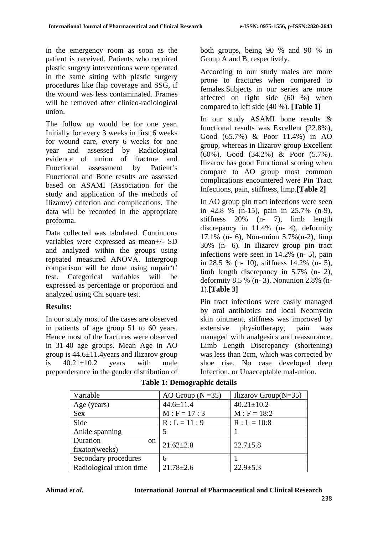in the emergency room as soon as the patient is received. Patients who required plastic surgery interventions were operated in the same sitting with plastic surgery procedures like flap coverage and SSG, if the wound was less contaminated. Frames will be removed after clinico-radiological union.

The follow up would be for one year. Initially for every 3 weeks in first 6 weeks for wound care, every 6 weeks for one year and assessed by Radiological evidence of union of fracture and Functional assessment by Patient's Functional and Bone results are assessed based on ASAMI (Association for the study and application of the methods of Ilizarov) criterion and complications. The data will be recorded in the appropriate proforma.

Data collected was tabulated. Continuous variables were expressed as mean+/- SD and analyzed within the groups using repeated measured ANOVA. Intergroup comparison will be done using unpair't' test. Categorical variables will be expressed as percentage or proportion and analyzed using Chi square test.

## **Results:**

In our study most of the cases are observed in patients of age group 51 to 60 years. Hence most of the fractures were observed in 31-40 age groups. Mean Age in AO group is 44.6±11.4years and Ilizarov group is  $40.21 \pm 10.2$  years with male preponderance in the gender distribution of both groups, being 90 % and 90 % in Group A and B, respectively.

According to our study males are more prone to fractures when compared to females.Subjects in our series are more affected on right side (60 %) when compared to left side (40 %). **[Table 1]**

In our study ASAMI bone results & functional results was Excellent (22.8%), Good (65.7%) & Poor 11.4%) in AO group, whereas in Ilizarov group Excellent (60%), Good (34.2%) & Poor (5.7%). Ilizarov has good Functional scoring when compare to AO group most common complications encountered were Pin Tract Infections, pain, stiffness, limp.**[Table 2]**

In AO group pin tract infections were seen in 42.8 % (n-15), pain in 25.7% (n-9), stiffness 20% (n- 7), limb length discrepancy in 11.4% (n- 4), deformity 17.1% (n- 6), Non-union 5.7%(n-2), limp 30% (n- 6). In Ilizarov group pin tract infections were seen in 14.2% (n- 5), pain in 28.5 % (n- 10), stiffness 14.2% (n- 5), limb length discrepancy in 5.7% (n- 2), deformity 8.5 % (n- 3), Nonunion 2.8% (n-1).**[Table 3]**

Pin tract infections were easily managed by oral antibiotics and local Neomycin skin ointment, stiffness was improved by extensive physiotherapy, pain was managed with analgesics and reassurance. Limb Length Discrepancy (shortening) was less than 2cm, which was corrected by shoe rise. No case developed deep Infection, or Unacceptable mal-union.

| Variable                | AO Group ( $N = 35$ ) | Ilizarov Group $(N=35)$ |
|-------------------------|-----------------------|-------------------------|
| Age (years)             | $44.6 \pm 11.4$       | $40.21 \pm 10.2$        |
| <b>Sex</b>              | $M : F = 17 : 3$      | $M : F = 18:2$          |
| Side                    | $R: L = 11:9$         | $R: L = 10:8$           |
| Ankle spanning          |                       |                         |
| Duration<br>on          | $21.62 \pm 2.8$       | $22.7 \pm 5.8$          |
| fixator(weeks)          |                       |                         |
| Secondary procedures    | 6                     |                         |
| Radiological union time | $21.78 \pm 2.6$       | $22.9 \pm 5.3$          |

## **Table 1: Demographic details**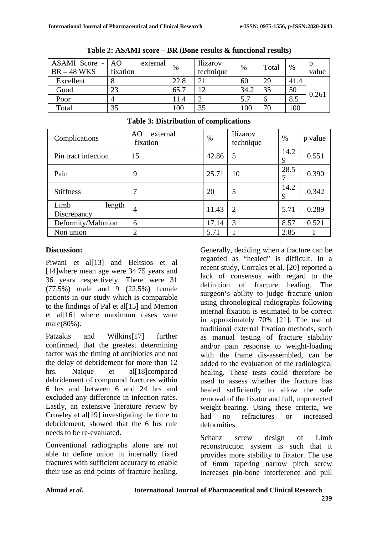| ASAMI Score -<br>$BR - 48 WKS$ | AO<br>fixation | external | %    | <b>Ilizarov</b><br>technique | $\%$ | Total | $\%$ | value |
|--------------------------------|----------------|----------|------|------------------------------|------|-------|------|-------|
| Excellent                      |                |          | 22.8 | 2 <sub>1</sub>               | 60   | 29    | 41.4 |       |
| Good                           |                |          | 65.  | 12                           | 34.2 | 35    | 50   |       |
| Poor                           |                |          |      |                              | 5.7  | b     | 8.5  | 0.261 |
| Total                          | 35             |          | 100  | 35                           | 100  | 70    | 100  |       |

**Table 3: Distribution of complications**

**Table 2: ASAMI score – BR (Bone results & functional results)**

| Complications                 | external<br>AO.<br>fixation | $\%$  | Ilizarov<br>technique | $\%$      | p value |
|-------------------------------|-----------------------------|-------|-----------------------|-----------|---------|
| Pin tract infection           | 15                          | 42.86 | 5                     | 14.2<br>9 | 0.551   |
| Pain                          | 9                           | 25.71 | 10                    | 28.5<br>7 | 0.390   |
| <b>Stiffness</b>              |                             | 20    | 5                     | 14.2<br>9 | 0.342   |
| Limb<br>length<br>Discrepancy | 4                           | 11.43 | $\overline{2}$        | 5.71      | 0.289   |
| Deformity/Malunion            | 6                           | 17.14 | 3                     | 8.57      | 0.521   |
| Non union                     | $\overline{2}$              | 5.71  |                       | 2.85      |         |

#### **Discussion:**

Piwani et all<sup>[13]</sup> and Beltsios et al [14]where mean age were 34.75 years and 36 years respectively. There were 31 (77.5%) male and 9 (22.5%) female patients in our study which is comparable to the findings of Pal et all [15] and Memon et al[16] where maximum cases were male(80%).

Patzakis and Wilkins[17] further confirmed, that the greatest determining factor was the timing of antibiotics and not the delay of debridement for more than 12 hrs. Naique et al[18]compared debridement of compound fractures within 6 hrs and between 6 and 24 hrs and excluded any difference in infection rates. Lastly, an extensive literature review by Crowley et al[19] investigating the time to debridement, showed that the 6 hrs rule needs to be re-evaluated.

Conventional radiographs alone are not able to define union in internally fixed fractures with sufficient accuracy to enable their use as end-points of fracture healing. Generally, deciding when a fracture can be regarded as "healed" is difficult. In a recent study, Corrales et al. [20] reported a lack of consensus with regard to the definition of fracture healing. The surgeon's ability to judge fracture union using chronological radiographs following internal fixation is estimated to be correct in approximately 70% [21]. The use of traditional external fixation methods, such as manual testing of fracture stability and/or pain response to weight-loading with the frame dis-assembled, can be added to the evaluation of the radiological healing. These tests could therefore be used to assess whether the fracture has healed sufficiently to allow the safe removal of the fixator and full, unprotected weight-bearing. Using these criteria, we had no refractures or increased deformities.

Schanz screw design of Limb reconstruction system is such that it provides more stability to fixator. The use of 6mm tapering narrow pitch screw increases pin-bone interference and pull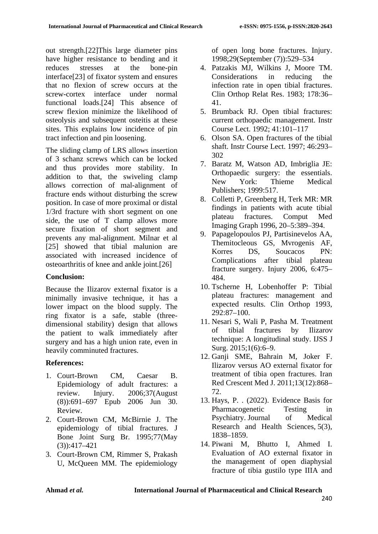out strength.[22]This large diameter pins have higher resistance to bending and it reduces stresses at the bone-pin interface[23] of fixator system and ensures that no flexion of screw occurs at the screw-cortex interface under normal functional loads.[24] This absence of screw flexion minimize the likelihood of osteolysis and subsequent osteitis at these sites. This explains low incidence of pin tract infection and pin loosening.

The sliding clamp of LRS allows insertion of 3 schanz screws which can be locked and thus provides more stability. In addition to that, the swiveling clamp allows correction of mal-alignment of fracture ends without disturbing the screw position. In case of more proximal or distal 1/3rd fracture with short segment on one side, the use of T clamp allows more secure fixation of short segment and prevents any mal-alignment. Milnar et al [25] showed that tibial malunion are associated with increased incidence of osteoarthritis of knee and ankle joint.[26]

#### **Conclusion:**

Because the Ilizarov external fixator is a minimally invasive technique, it has a lower impact on the blood supply. The ring fixator is a safe, stable (threedimensional stability) design that allows the patient to walk immediately after surgery and has a high union rate, even in heavily comminuted fractures.

#### **References:**

- 1. Court-Brown CM, Caesar B. Epidemiology of adult fractures: a review. Injury. 2006;37(August (8)):691–697 Epub 2006 Jun 30. Review.
- 2. Court-Brown CM, McBirnie J. The epidemiology of tibial fractures. J Bone Joint Surg Br. 1995;77(May (3)):417–421
- 3. Court-Brown CM, Rimmer S, Prakash U, McQueen MM. The epidemiology

of open long bone fractures. Injury. 1998;29(September (7)):529–534

- 4. Patzakis MJ, Wilkins J, Moore TM. Considerations in reducing the infection rate in open tibial fractures. Clin Orthop Relat Res. 1983; 178:36– 41.
- 5. Brumback RJ. Open tibial fractures: current orthopaedic management. Instr Course Lect. 1992; 41:101–117
- 6. Olson SA. Open fractures of the tibial shaft. Instr Course Lect. 1997; 46:293– 302
- 7. Baratz M, Watson AD, Imbriglia JE: Orthopaedic surgery: the essentials. New York: Thieme Medical Publishers; 1999:517.
- 8. Colletti P, Greenberg H, Terk MR: MR findings in patients with acute tibial plateau fractures. Comput Med Imaging Graph 1996, 20–5:389–394.
- 9. Papagelopoulos PJ, Partisinevelos AA, Themitocleous GS, Mvrogenis AF, Korres DS, Soucacos PN: Complications after tibial plateau fracture surgery. Injury 2006, 6:475– 484.
- 10. Tscherne H, Lobenhoffer P: Tibial plateau fractures: management and expected results. Clin Orthop 1993, 292:87–100.
- 11. Nesari S, Wali P, Pasha M. Treatment of tibial fractures by Ilizarov technique: A longitudinal study. IJSS J Surg. 2015;1(6):6–9.
- 12. Ganji SME, Bahrain M, Joker F. Ilizarov versus AO external fixator for treatment of tibia open fractures. Iran Red Crescent Med J. 2011;13(12):868– 72.
- 13. Hays, P. . (2022). Evidence Basis for Pharmacogenetic Testing in Psychiatry. Journal of Medical Research and Health Sciences, 5(3), 1838–1859.
- 14. Piwani M, Bhutto I, Ahmed I. Evaluation of AO external fixator in the management of open diaphysial fracture of tibia gustilo type IIIA and